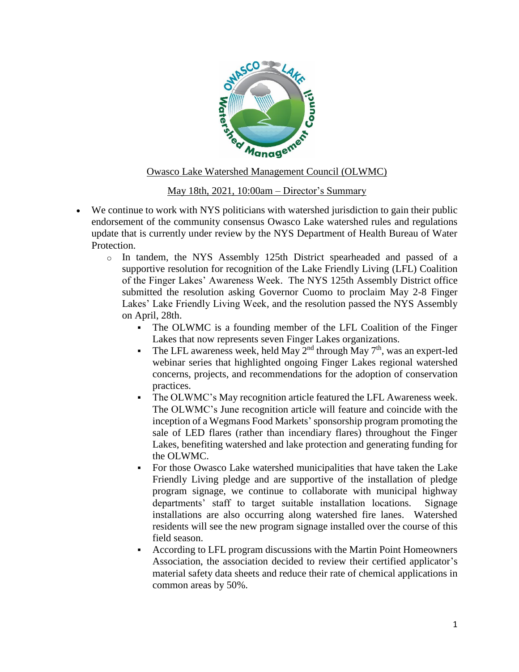

## Owasco Lake Watershed Management Council (OLWMC)

## May 18th, 2021, 10:00am – Director's Summary

- We continue to work with NYS politicians with watershed jurisdiction to gain their public endorsement of the community consensus Owasco Lake watershed rules and regulations update that is currently under review by the NYS Department of Health Bureau of Water Protection.
	- o In tandem, the NYS Assembly 125th District spearheaded and passed of a supportive resolution for recognition of the Lake Friendly Living (LFL) Coalition of the Finger Lakes' Awareness Week. The NYS 125th Assembly District office submitted the resolution asking Governor Cuomo to proclaim May 2-8 Finger Lakes' Lake Friendly Living Week, and the resolution passed the NYS Assembly on April, 28th.
		- The OLWMC is a founding member of the LFL Coalition of the Finger Lakes that now represents seven Finger Lakes organizations.
		- The LFL awareness week, held May  $2<sup>nd</sup>$  through May  $7<sup>th</sup>$ , was an expert-led webinar series that highlighted ongoing Finger Lakes regional watershed concerns, projects, and recommendations for the adoption of conservation practices.
		- The OLWMC's May recognition article featured the LFL Awareness week. The OLWMC's June recognition article will feature and coincide with the inception of a Wegmans Food Markets' sponsorship program promoting the sale of LED flares (rather than incendiary flares) throughout the Finger Lakes, benefiting watershed and lake protection and generating funding for the OLWMC.
		- For those Owasco Lake watershed municipalities that have taken the Lake Friendly Living pledge and are supportive of the installation of pledge program signage, we continue to collaborate with municipal highway departments' staff to target suitable installation locations. Signage installations are also occurring along watershed fire lanes. Watershed residents will see the new program signage installed over the course of this field season.
		- According to LFL program discussions with the Martin Point Homeowners Association, the association decided to review their certified applicator's material safety data sheets and reduce their rate of chemical applications in common areas by 50%.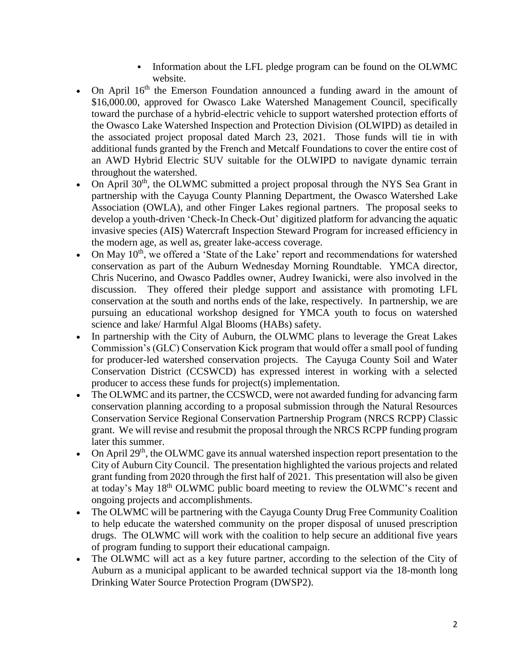- Information about the LFL pledge program can be found on the OLWMC website.
- On April  $16<sup>th</sup>$  the Emerson Foundation announced a funding award in the amount of \$16,000.00, approved for Owasco Lake Watershed Management Council, specifically toward the purchase of a hybrid-electric vehicle to support watershed protection efforts of the Owasco Lake Watershed Inspection and Protection Division (OLWIPD) as detailed in the associated project proposal dated March 23, 2021. Those funds will tie in with additional funds granted by the French and Metcalf Foundations to cover the entire cost of an AWD Hybrid Electric SUV suitable for the OLWIPD to navigate dynamic terrain throughout the watershed.
- On April 30<sup>th</sup>, the OLWMC submitted a project proposal through the NYS Sea Grant in partnership with the Cayuga County Planning Department, the Owasco Watershed Lake Association (OWLA), and other Finger Lakes regional partners. The proposal seeks to develop a youth-driven 'Check-In Check-Out' digitized platform for advancing the aquatic invasive species (AIS) Watercraft Inspection Steward Program for increased efficiency in the modern age, as well as, greater lake-access coverage.
- On May 10<sup>th</sup>, we offered a 'State of the Lake' report and recommendations for watershed conservation as part of the Auburn Wednesday Morning Roundtable. YMCA director, Chris Nucerino, and Owasco Paddles owner, Audrey Iwanicki, were also involved in the discussion. They offered their pledge support and assistance with promoting LFL conservation at the south and norths ends of the lake, respectively. In partnership, we are pursuing an educational workshop designed for YMCA youth to focus on watershed science and lake/ Harmful Algal Blooms (HABs) safety.
- In partnership with the City of Auburn, the OLWMC plans to leverage the Great Lakes Commission's (GLC) Conservation Kick program that would offer a small pool of funding for producer-led watershed conservation projects. The Cayuga County Soil and Water Conservation District (CCSWCD) has expressed interest in working with a selected producer to access these funds for project(s) implementation.
- The OLWMC and its partner, the CCSWCD, were not awarded funding for advancing farm conservation planning according to a proposal submission through the Natural Resources Conservation Service Regional Conservation Partnership Program (NRCS RCPP) Classic grant. We will revise and resubmit the proposal through the NRCS RCPP funding program later this summer.
- On April  $29<sup>th</sup>$ , the OLWMC gave its annual watershed inspection report presentation to the City of Auburn City Council. The presentation highlighted the various projects and related grant funding from 2020 through the first half of 2021. This presentation will also be given at today's May 18th OLWMC public board meeting to review the OLWMC's recent and ongoing projects and accomplishments.
- The OLWMC will be partnering with the Cayuga County Drug Free Community Coalition to help educate the watershed community on the proper disposal of unused prescription drugs. The OLWMC will work with the coalition to help secure an additional five years of program funding to support their educational campaign.
- The OLWMC will act as a key future partner, according to the selection of the City of Auburn as a municipal applicant to be awarded technical support via the 18-month long Drinking Water Source Protection Program (DWSP2).